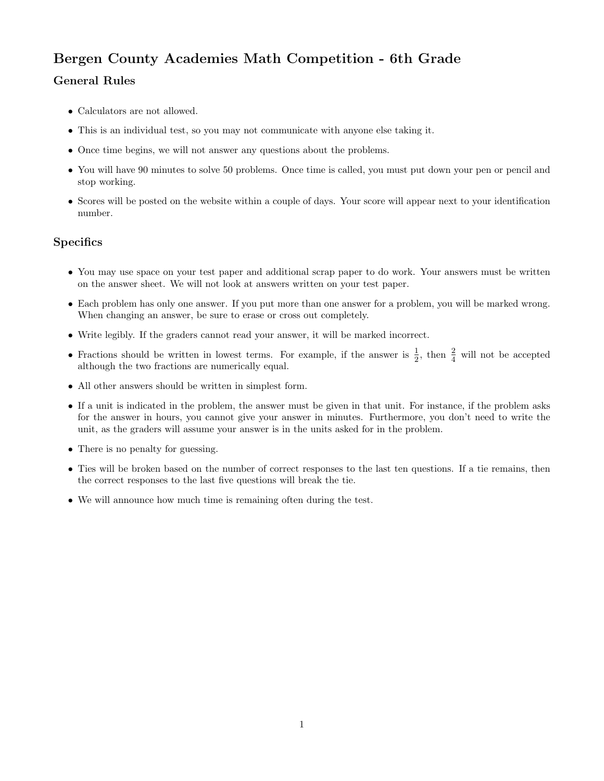## Bergen County Academies Math Competition - 6th Grade

## General Rules

- Calculators are not allowed.
- This is an individual test, so you may not communicate with anyone else taking it.
- Once time begins, we will not answer any questions about the problems.
- You will have 90 minutes to solve 50 problems. Once time is called, you must put down your pen or pencil and stop working.
- Scores will be posted on the website within a couple of days. Your score will appear next to your identification number.

## **Specifics**

- You may use space on your test paper and additional scrap paper to do work. Your answers must be written on the answer sheet. We will not look at answers written on your test paper.
- Each problem has only one answer. If you put more than one answer for a problem, you will be marked wrong. When changing an answer, be sure to erase or cross out completely.
- Write legibly. If the graders cannot read your answer, it will be marked incorrect.
- Fractions should be written in lowest terms. For example, if the answer is  $\frac{1}{2}$ , then  $\frac{2}{4}$  will not be accepted although the two fractions are numerically equal.
- All other answers should be written in simplest form.
- If a unit is indicated in the problem, the answer must be given in that unit. For instance, if the problem asks for the answer in hours, you cannot give your answer in minutes. Furthermore, you don't need to write the unit, as the graders will assume your answer is in the units asked for in the problem.
- There is no penalty for guessing.
- Ties will be broken based on the number of correct responses to the last ten questions. If a tie remains, then the correct responses to the last five questions will break the tie.
- We will announce how much time is remaining often during the test.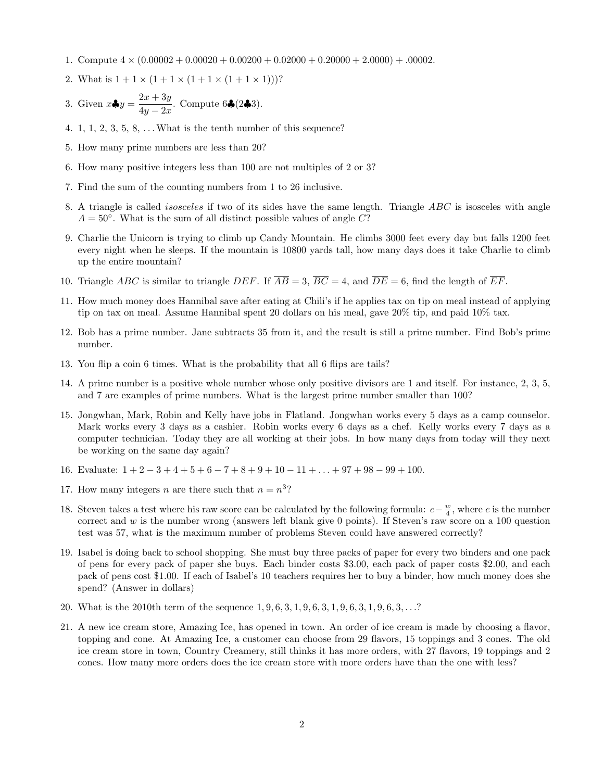- 1. Compute  $4 \times (0.00002 + 0.00020 + 0.00200 + 0.02000 + 0.20000 + 2.0000) + .00002$ .
- 2. What is  $1 + 1 \times (1 + 1 \times (1 + 1 \times (1 + 1 \times 1)))$ ?
- 3. Given  $x \clubsuit y = \frac{2x + 3y}{4}$  $\frac{2x+9y}{4y-2x}$ . Compute 6♣(2♣3).
- 4. 1, 1, 2, 3, 5, 8,  $\dots$  What is the tenth number of this sequence?
- 5. How many prime numbers are less than 20?
- 6. How many positive integers less than 100 are not multiples of 2 or 3?
- 7. Find the sum of the counting numbers from 1 to 26 inclusive.
- 8. A triangle is called isosceles if two of its sides have the same length. Triangle ABC is isosceles with angle  $A = 50^\circ$ . What is the sum of all distinct possible values of angle C?
- 9. Charlie the Unicorn is trying to climb up Candy Mountain. He climbs 3000 feet every day but falls 1200 feet every night when he sleeps. If the mountain is 10800 yards tall, how many days does it take Charlie to climb up the entire mountain?
- 10. Triangle ABC is similar to triangle DEF. If  $\overline{AB} = 3$ ,  $\overline{BC} = 4$ , and  $\overline{DE} = 6$ , find the length of  $\overline{EF}$ .
- 11. How much money does Hannibal save after eating at Chili's if he applies tax on tip on meal instead of applying tip on tax on meal. Assume Hannibal spent 20 dollars on his meal, gave 20% tip, and paid 10% tax.
- 12. Bob has a prime number. Jane subtracts 35 from it, and the result is still a prime number. Find Bob's prime number.
- 13. You flip a coin 6 times. What is the probability that all 6 flips are tails?
- 14. A prime number is a positive whole number whose only positive divisors are 1 and itself. For instance, 2, 3, 5, and 7 are examples of prime numbers. What is the largest prime number smaller than 100?
- 15. Jongwhan, Mark, Robin and Kelly have jobs in Flatland. Jongwhan works every 5 days as a camp counselor. Mark works every 3 days as a cashier. Robin works every 6 days as a chef. Kelly works every 7 days as a computer technician. Today they are all working at their jobs. In how many days from today will they next be working on the same day again?
- 16. Evaluate:  $1+2-3+4+5+6-7+8+9+10-11+\ldots+97+98-99+100$ .
- 17. How many integers *n* are there such that  $n = n^3$ ?
- 18. Steven takes a test where his raw score can be calculated by the following formula:  $c \frac{w}{4}$ , where c is the number correct and  $w$  is the number wrong (answers left blank give 0 points). If Steven's raw score on a 100 question test was 57, what is the maximum number of problems Steven could have answered correctly?
- 19. Isabel is doing back to school shopping. She must buy three packs of paper for every two binders and one pack of pens for every pack of paper she buys. Each binder costs \$3.00, each pack of paper costs \$2.00, and each pack of pens cost \$1.00. If each of Isabel's 10 teachers requires her to buy a binder, how much money does she spend? (Answer in dollars)
- 20. What is the 2010th term of the sequence 1, 9, 6, 3, 1, 9, 6, 3, 1, 9, 6, 3, 1, 9, 6, 3, . . .?
- 21. A new ice cream store, Amazing Ice, has opened in town. An order of ice cream is made by choosing a flavor, topping and cone. At Amazing Ice, a customer can choose from 29 flavors, 15 toppings and 3 cones. The old ice cream store in town, Country Creamery, still thinks it has more orders, with 27 flavors, 19 toppings and 2 cones. How many more orders does the ice cream store with more orders have than the one with less?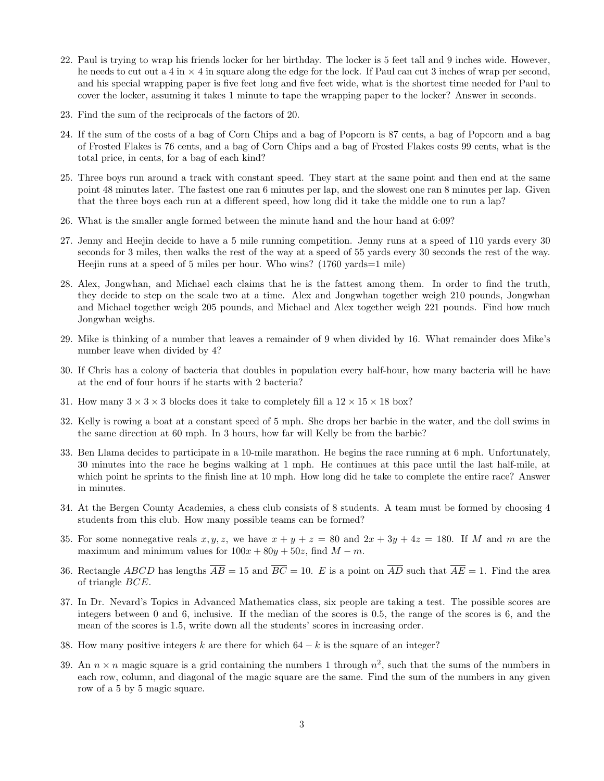- 22. Paul is trying to wrap his friends locker for her birthday. The locker is 5 feet tall and 9 inches wide. However, he needs to cut out a 4 in  $\times$  4 in square along the edge for the lock. If Paul can cut 3 inches of wrap per second, and his special wrapping paper is five feet long and five feet wide, what is the shortest time needed for Paul to cover the locker, assuming it takes 1 minute to tape the wrapping paper to the locker? Answer in seconds.
- 23. Find the sum of the reciprocals of the factors of 20.
- 24. If the sum of the costs of a bag of Corn Chips and a bag of Popcorn is 87 cents, a bag of Popcorn and a bag of Frosted Flakes is 76 cents, and a bag of Corn Chips and a bag of Frosted Flakes costs 99 cents, what is the total price, in cents, for a bag of each kind?
- 25. Three boys run around a track with constant speed. They start at the same point and then end at the same point 48 minutes later. The fastest one ran 6 minutes per lap, and the slowest one ran 8 minutes per lap. Given that the three boys each run at a different speed, how long did it take the middle one to run a lap?
- 26. What is the smaller angle formed between the minute hand and the hour hand at 6:09?
- 27. Jenny and Heejin decide to have a 5 mile running competition. Jenny runs at a speed of 110 yards every 30 seconds for 3 miles, then walks the rest of the way at a speed of 55 yards every 30 seconds the rest of the way. Heejin runs at a speed of 5 miles per hour. Who wins? (1760 yards=1 mile)
- 28. Alex, Jongwhan, and Michael each claims that he is the fattest among them. In order to find the truth, they decide to step on the scale two at a time. Alex and Jongwhan together weigh 210 pounds, Jongwhan and Michael together weigh 205 pounds, and Michael and Alex together weigh 221 pounds. Find how much Jongwhan weighs.
- 29. Mike is thinking of a number that leaves a remainder of 9 when divided by 16. What remainder does Mike's number leave when divided by 4?
- 30. If Chris has a colony of bacteria that doubles in population every half-hour, how many bacteria will he have at the end of four hours if he starts with 2 bacteria?
- 31. How many  $3 \times 3 \times 3$  blocks does it take to completely fill a  $12 \times 15 \times 18$  box?
- 32. Kelly is rowing a boat at a constant speed of 5 mph. She drops her barbie in the water, and the doll swims in the same direction at 60 mph. In 3 hours, how far will Kelly be from the barbie?
- 33. Ben Llama decides to participate in a 10-mile marathon. He begins the race running at 6 mph. Unfortunately, 30 minutes into the race he begins walking at 1 mph. He continues at this pace until the last half-mile, at which point he sprints to the finish line at 10 mph. How long did he take to complete the entire race? Answer in minutes.
- 34. At the Bergen County Academies, a chess club consists of 8 students. A team must be formed by choosing 4 students from this club. How many possible teams can be formed?
- 35. For some nonnegative reals  $x, y, z$ , we have  $x + y + z = 80$  and  $2x + 3y + 4z = 180$ . If M and m are the maximum and minimum values for  $100x + 80y + 50z$ , find  $M - m$ .
- 36. Rectangle ABCD has lengths  $\overline{AB} = 15$  and  $\overline{BC} = 10$ . E is a point on  $\overline{AD}$  such that  $\overline{AE} = 1$ . Find the area of triangle BCE.
- 37. In Dr. Nevard's Topics in Advanced Mathematics class, six people are taking a test. The possible scores are integers between 0 and 6, inclusive. If the median of the scores is 0.5, the range of the scores is 6, and the mean of the scores is 1.5, write down all the students' scores in increasing order.
- 38. How many positive integers k are there for which  $64 k$  is the square of an integer?
- 39. An  $n \times n$  magic square is a grid containing the numbers 1 through  $n^2$ , such that the sums of the numbers in each row, column, and diagonal of the magic square are the same. Find the sum of the numbers in any given row of a 5 by 5 magic square.